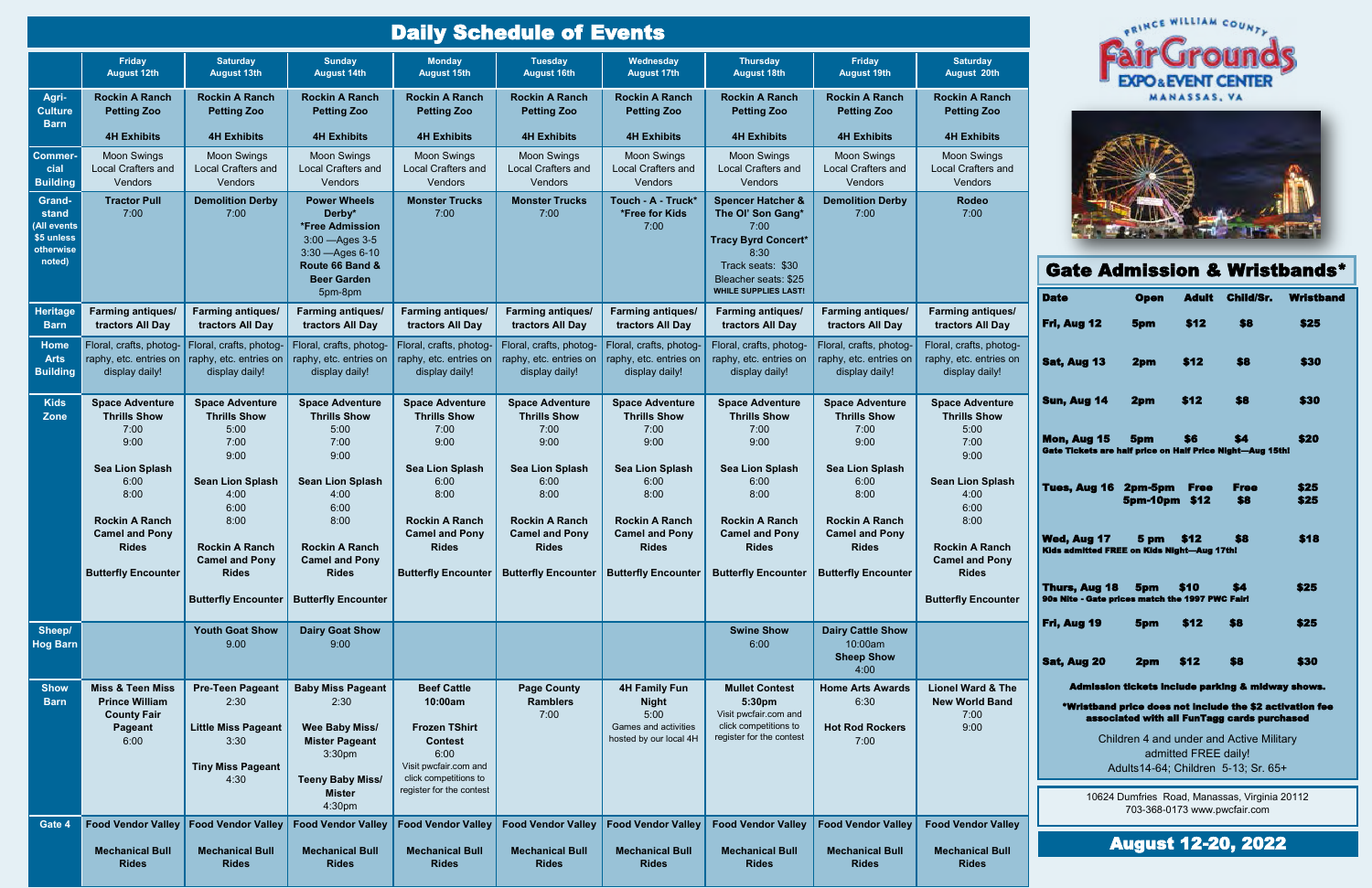| <b>Daily Schedule of Events</b>                                            |                                                                                               |                                                                                                           |                                                                                                                                                    |                                                                                                                                                               |                                                                                                                                   |                                                                                                |                                                                                                               |                                                                     |                                                                                |                                                                                                                                                                                                                                                                                                                                                          | <b><i>ORINGE WILLIAM COUNTY</i></b> |                      |                    |                                         |
|----------------------------------------------------------------------------|-----------------------------------------------------------------------------------------------|-----------------------------------------------------------------------------------------------------------|----------------------------------------------------------------------------------------------------------------------------------------------------|---------------------------------------------------------------------------------------------------------------------------------------------------------------|-----------------------------------------------------------------------------------------------------------------------------------|------------------------------------------------------------------------------------------------|---------------------------------------------------------------------------------------------------------------|---------------------------------------------------------------------|--------------------------------------------------------------------------------|----------------------------------------------------------------------------------------------------------------------------------------------------------------------------------------------------------------------------------------------------------------------------------------------------------------------------------------------------------|-------------------------------------|----------------------|--------------------|-----------------------------------------|
|                                                                            | Friday<br><b>August 12th</b>                                                                  | <b>Saturday</b><br><b>August 13th</b>                                                                     | <b>Sunday</b><br><b>August 14th</b>                                                                                                                | <b>Monday</b><br><b>August 15th</b>                                                                                                                           | <b>Tuesday</b><br><b>August 16th</b>                                                                                              | Wednesday<br><b>August 17th</b>                                                                | <b>Thursday</b><br><b>August 18th</b>                                                                         | Friday<br><b>August 19th</b>                                        | <b>Saturday</b><br>August 20th                                                 |                                                                                                                                                                                                                                                                                                                                                          |                                     |                      |                    |                                         |
| Agri-<br><b>Culture</b><br><b>Barn</b>                                     | <b>Rockin A Ranch</b><br><b>Petting Zoo</b>                                                   | <b>Rockin A Ranch</b><br><b>Petting Zoo</b>                                                               | <b>Rockin A Ranch</b><br><b>Petting Zoo</b>                                                                                                        | <b>Rockin A Ranch</b><br><b>Petting Zoo</b>                                                                                                                   | <b>Rockin A Ranch</b><br><b>Petting Zoo</b>                                                                                       | <b>Rockin A Ranch</b><br><b>Petting Zoo</b>                                                    | <b>Rockin A Ranch</b><br><b>Petting Zoo</b>                                                                   | <b>Rockin A Ranch</b><br><b>Petting Zoo</b>                         | <b>Rockin A Ranch</b><br><b>Petting Zoo</b>                                    |                                                                                                                                                                                                                                                                                                                                                          |                                     | <b>MANASSAS, VA</b>  |                    |                                         |
|                                                                            | <b>4H Exhibits</b>                                                                            | <b>4H Exhibits</b>                                                                                        | <b>4H Exhibits</b>                                                                                                                                 | <b>4H Exhibits</b>                                                                                                                                            | <b>4H Exhibits</b>                                                                                                                | <b>4H Exhibits</b>                                                                             | <b>4H Exhibits</b>                                                                                            | <b>4H Exhibits</b>                                                  | <b>4H Exhibits</b>                                                             |                                                                                                                                                                                                                                                                                                                                                          |                                     |                      |                    |                                         |
| Commer-<br>cial<br><b>Building</b>                                         | <b>Moon Swings</b><br><b>Local Crafters and</b><br>Vendors                                    | <b>Moon Swings</b><br>Local Crafters and<br>Vendors                                                       | <b>Moon Swings</b><br>Local Crafters and<br>Vendors                                                                                                | <b>Moon Swings</b><br>Local Crafters and<br>Vendors                                                                                                           | <b>Moon Swings</b><br>Local Crafters and<br>Vendors                                                                               | <b>Moon Swings</b><br>Local Crafters and<br>Vendors                                            | <b>Moon Swings</b><br>Local Crafters and<br>Vendors                                                           | <b>Moon Swings</b><br>Local Crafters and<br>Vendors                 | <b>Moon Swings</b><br>Local Crafters and<br>Vendors                            |                                                                                                                                                                                                                                                                                                                                                          |                                     |                      |                    |                                         |
| <b>Grand-</b><br>stand<br>(All events<br>\$5 unless<br>otherwise<br>noted) | <b>Tractor Pull</b><br>7:00                                                                   | <b>Demolition Derby</b><br>7:00                                                                           | <b>Power Wheels</b><br>Derby*<br>*Free Admission<br>3:00 - Ages 3-5<br>3:30 - Ages 6-10                                                            | <b>Monster Trucks</b><br>7:00                                                                                                                                 | <b>Monster Trucks</b><br>7:00                                                                                                     | Touch - A - Truck*<br>*Free for Kids<br>7:00                                                   | <b>Spencer Hatcher &amp;</b><br>The Ol' Son Gang*<br>7:00<br><b>Tracy Byrd Concert*</b><br>8:30               | <b>Demolition Derby</b><br>7:00                                     | Rodeo<br>7:00                                                                  |                                                                                                                                                                                                                                                                                                                                                          |                                     |                      |                    |                                         |
|                                                                            |                                                                                               |                                                                                                           | Route 66 Band &<br><b>Beer Garden</b>                                                                                                              |                                                                                                                                                               |                                                                                                                                   |                                                                                                | Track seats: \$30<br>Bleacher seats: \$25<br><b>WHILE SUPPLIES LAST!</b>                                      |                                                                     |                                                                                |                                                                                                                                                                                                                                                                                                                                                          |                                     |                      |                    | <b>Gate Admission &amp; Wristbands*</b> |
| <b>Heritage</b><br><b>Barn</b>                                             | <b>Farming antiques/</b><br>tractors All Day                                                  | <b>Farming antiques/</b><br>tractors All Day                                                              | 5pm-8pm<br><b>Farming antiques/</b><br>tractors All Day                                                                                            | <b>Farming antiques/</b><br>tractors All Day                                                                                                                  | <b>Farming antiques/</b><br>tractors All Day                                                                                      | <b>Farming antiques/</b><br>tractors All Day                                                   | <b>Farming antiques/</b><br>tractors All Day                                                                  | <b>Farming antiques/</b><br>tractors All Day                        | Farming antiques/<br>tractors All Day                                          | <b>Date</b><br>Fri, Aug 12                                                                                                                                                                                                                                                                                                                               | <b>Open</b><br>5pm                  | <b>Adult</b><br>\$12 | Child/Sr.<br>\$8   | <b>Wristband</b><br>\$25                |
| <b>Home</b><br><b>Arts</b><br><b>Building</b>                              | Floral, crafts, photog-<br>raphy, etc. entries on   raphy, etc. entries on<br>display daily!  | Floral, crafts, photog-<br>display daily!                                                                 | Floral, crafts, photog-<br>raphy, etc. entries on<br>display daily!                                                                                | Floral, crafts, photog-<br>raphy, etc. entries on<br>display daily!                                                                                           | Floral, crafts, photog-<br>raphy, etc. entries on<br>display daily!                                                               | Floral, crafts, photog-<br>raphy, etc. entries on<br>display daily!                            | Floral, crafts, photog-<br>raphy, etc. entries on<br>display daily!                                           | Floral, crafts, photog-<br>raphy, etc. entries on<br>display daily! | Floral, crafts, photog-<br>raphy, etc. entries on<br>display daily!            | <b>Sat, Aug 13</b>                                                                                                                                                                                                                                                                                                                                       | 2pm                                 | \$12                 | \$8                | \$30                                    |
| <b>Kids</b><br><b>Zone</b>                                                 | <b>Space Adventure</b><br><b>Thrills Show</b>                                                 | <b>Space Adventure</b><br><b>Thrills Show</b>                                                             | <b>Space Adventure</b><br><b>Thrills Show</b>                                                                                                      | <b>Space Adventure</b><br><b>Thrills Show</b>                                                                                                                 | <b>Space Adventure</b><br><b>Thrills Show</b>                                                                                     | <b>Space Adventure</b><br><b>Thrills Show</b>                                                  | <b>Space Adventure</b><br><b>Thrills Show</b>                                                                 | <b>Space Adventure</b><br><b>Thrills Show</b>                       | <b>Space Adventure</b><br><b>Thrills Show</b>                                  | Sun, Aug 14                                                                                                                                                                                                                                                                                                                                              | 2pm                                 | \$12                 | \$8                | \$30                                    |
|                                                                            | 7:00<br>9:00                                                                                  | 5:00<br>7:00<br>9:00                                                                                      | 5:00<br>7:00<br>9:00                                                                                                                               | 7:00<br>9:00                                                                                                                                                  | 7:00<br>9:00                                                                                                                      | 7:00<br>9:00                                                                                   | 7:00<br>9:00                                                                                                  | 7:00<br>9:00                                                        | 5:00<br>7:00<br>9:00                                                           | Mon, Aug 15<br><b>Gate Tickets are half price on Half Price Night-Aug 15th!</b>                                                                                                                                                                                                                                                                          | 5pm                                 | S6                   | \$4                | \$20                                    |
|                                                                            | Sea Lion Splash<br>6:00<br>8:00                                                               | <b>Sean Lion Splash</b><br>4:00                                                                           | <b>Sean Lion Splash</b><br>4:00                                                                                                                    | <b>Sea Lion Splash</b><br>6:00<br>8:00                                                                                                                        | Sea Lion Splash<br>6:00<br>8:00                                                                                                   | <b>Sea Lion Splash</b><br>6:00<br>8:00                                                         | <b>Sea Lion Splash</b><br>6:00<br>8:00                                                                        | <b>Sea Lion Splash</b><br>6:00<br>8:00                              | <b>Sean Lion Splash</b><br>4:00                                                | <b>Tues, Aug 16</b>                                                                                                                                                                                                                                                                                                                                      | 2pm-5pm<br><b>5pm-10pm \$12</b>     | <b>Free</b>          | <b>Free</b><br>\$8 | \$25<br>\$25                            |
|                                                                            | <b>Rockin A Ranch</b><br><b>Camel and Pony</b><br><b>Rides</b><br><b>Butterfly Encounter</b>  | 6:00<br>8:00<br><b>Rockin A Ranch</b><br><b>Camel and Pony</b><br><b>Rides</b>                            | 6:00<br>8:00<br><b>Rockin A Ranch</b><br><b>Camel and Pony</b><br><b>Rides</b>                                                                     | <b>Rockin A Ranch</b><br><b>Camel and Pony</b><br><b>Rides</b>                                                                                                | <b>Rockin A Ranch</b><br><b>Camel and Pony</b><br><b>Rides</b><br>Butterfly Encounter   Butterfly Encounter   Butterfly Encounter | <b>Rockin A Ranch</b><br><b>Camel and Pony</b><br><b>Rides</b>                                 | <b>Rockin A Ranch</b><br><b>Camel and Pony</b><br><b>Rides</b><br>Butterfly Encounter   Butterfly Encounter   | <b>Rockin A Ranch</b><br><b>Camel and Pony</b><br><b>Rides</b>      | 6:00<br>8:00<br><b>Rockin A Ranch</b><br><b>Camel and Pony</b><br><b>Rides</b> | <b>Wed, Aug 17</b><br>Kids admitted FREE on Kids Night-Aug 17th!                                                                                                                                                                                                                                                                                         | 5 pm                                | \$12                 | \$8                | \$18                                    |
|                                                                            |                                                                                               |                                                                                                           | <b>Butterfly Encounter   Butterfly Encounter</b>                                                                                                   |                                                                                                                                                               |                                                                                                                                   |                                                                                                |                                                                                                               |                                                                     | <b>Butterfly Encounter</b>                                                     | Thurs, Aug 18 5pm \$10<br>90s Nite - Gate prices match the 1997 PWC Fairl                                                                                                                                                                                                                                                                                |                                     |                      | \$4                | \$25                                    |
| Sheep/<br><b>Hog Barn</b>                                                  |                                                                                               | <b>Youth Goat Show</b><br>9.00                                                                            | <b>Dairy Goat Show</b><br>9:00                                                                                                                     |                                                                                                                                                               |                                                                                                                                   |                                                                                                | <b>Swine Show</b><br>6:00                                                                                     | <b>Dairy Cattle Show</b><br>10:00am<br><b>Sheep Show</b><br>4:00    |                                                                                | Fri, Aug 19<br><b>Sat, Aug 20</b>                                                                                                                                                                                                                                                                                                                        | 5pm<br>2pm                          | \$12<br>\$12         | \$8<br>\$8         | \$25<br>\$30                            |
| <b>Show</b><br><b>Barn</b>                                                 | <b>Miss &amp; Teen Miss</b><br><b>Prince William</b><br><b>County Fair</b><br>Pageant<br>6:00 | <b>Pre-Teen Pageant</b><br>2:30<br><b>Little Miss Pageant</b><br>3:30<br><b>Tiny Miss Pageant</b><br>4:30 | <b>Baby Miss Pageant</b><br>2:30<br><b>Wee Baby Miss/</b><br><b>Mister Pageant</b><br>3:30pm<br><b>Teeny Baby Miss/</b><br><b>Mister</b><br>4:30pm | <b>Beef Cattle</b><br>10:00am<br><b>Frozen TShirt</b><br><b>Contest</b><br>6:00<br>Visit pwcfair.com and<br>click competitions to<br>register for the contest | <b>Page County</b><br><b>Ramblers</b><br>7:00                                                                                     | <b>4H Family Fun</b><br><b>Night</b><br>5:00<br>Games and activities<br>hosted by our local 4H | <b>Mullet Contest</b><br>5:30pm<br>Visit pwcfair.com and<br>click competitions to<br>register for the contest | <b>Home Arts Awards</b><br>6:30<br><b>Hot Rod Rockers</b><br>7:00   | <b>Lionel Ward &amp; The</b><br><b>New World Band</b><br>7:00<br>9:00          | Admission tickets include parking & midway shows.<br>*Wristband price does not include the \$2 activation fee<br>associated with all FunTagg cards purchased<br>Children 4 and under and Active Military<br>admitted FREE daily!<br>Adults14-64; Children 5-13; Sr. 65+<br>10624 Dumfries Road, Manassas, Virginia 20112<br>703-368-0173 www.pwcfair.com |                                     |                      |                    |                                         |
| Gate 4                                                                     | <b>Food Vendor Valley</b><br><b>Mechanical Bull</b><br><b>Rides</b>                           | <b>Food Vendor Valley</b><br><b>Mechanical Bull</b><br><b>Rides</b>                                       | <b>Food Vendor Valley</b><br><b>Mechanical Bull</b><br><b>Rides</b>                                                                                | <b>Food Vendor Valley</b><br><b>Mechanical Bull</b><br><b>Rides</b>                                                                                           | <b>Food Vendor Valley</b><br><b>Mechanical Bull</b><br><b>Rides</b>                                                               | <b>Food Vendor Valley</b><br><b>Mechanical Bull</b><br><b>Rides</b>                            | <b>Food Vendor Valley</b><br><b>Mechanical Bull</b><br><b>Rides</b>                                           | <b>Food Vendor Valley</b><br><b>Mechanical Bull</b><br><b>Rides</b> | <b>Food Vendor Valley</b><br><b>Mechanical Bull</b><br><b>Rides</b>            |                                                                                                                                                                                                                                                                                                                                                          | <b>August 12-20, 2022</b>           |                      |                    |                                         |